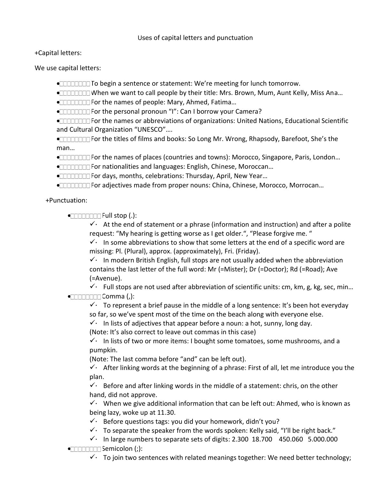## +Capital letters:

We use capital letters:

- To begin a sentence or statement: We're meeting for lunch tomorrow.
- When we want to call people by their title: Mrs. Brown, Mum, Aunt Kelly, Miss Ana…
- **INCO THE TEAM** For the names of people: Mary, Ahmed, Fatima...
- For the personal pronoun "I": Can I borrow your Camera?
- For the names or abbreviations of organizations: United Nations, Educational Scientific and Cultural Organization "UNESCO"….
- For the titles of films and books: So Long Mr. Wrong, Rhapsody, Barefoot, She's the man…
- For the names of places (countries and towns): Morocco, Singapore, Paris, London…
- For nationalities and languages: English, Chinese, Moroccan…
- For days, months, celebrations: Thursday, April, New Year…
- For adjectives made from proper nouns: China, Chinese, Morocco, Morrocan…

+Punctuation:

Full stop (.):

 $\checkmark$ . At the end of statement or a phrase (information and instruction) and after a polite request: "My hearing is getting worse as I get older.", "Please forgive me. "

 $\checkmark$ . In some abbreviations to show that some letters at the end of a specific word are missing: Pl. (Plural), approx. (approximately), Fri. (Friday).

 $\checkmark$ . In modern British English, full stops are not usually added when the abbreviation contains the last letter of the full word: Mr (=Mister); Dr (=Doctor); Rd (=Road); Ave (=Avenue).

 $\checkmark$ . Full stops are not used after abbreviation of scientific units: cm, km, g, kg, sec, min...  $\bullet$ Ennocation Comma (,):

 $\checkmark$ . To represent a brief pause in the middle of a long sentence: It's been hot everyday so far, so we've spent most of the time on the beach along with everyone else.

 $\checkmark$ . In lists of adjectives that appear before a noun: a hot, sunny, long day.

(Note: It's also correct to leave out commas in this case)

 $\checkmark$ . In lists of two or more items: I bought some tomatoes, some mushrooms, and a pumpkin.

(Note: The last comma before "and" can be left out).

 $\checkmark$ . After linking words at the beginning of a phrase: First of all, let me introduce you the plan.

 $\checkmark$ . Before and after linking words in the middle of a statement: chris, on the other hand, did not approve.

 $\checkmark$ . When we give additional information that can be left out: Ahmed, who is known as being lazy, woke up at 11.30.

- $\checkmark$  Before questions tags: you did your homework, didn't you?
- $\checkmark$ . To separate the speaker from the words spoken: Kelly said, "I'll be right back."
- $\checkmark$ . In large numbers to separate sets of digits: 2.300 18.700 450.060 5.000.000
- $\bullet$ 
	- $\checkmark$ . To join two sentences with related meanings together: We need better technology;